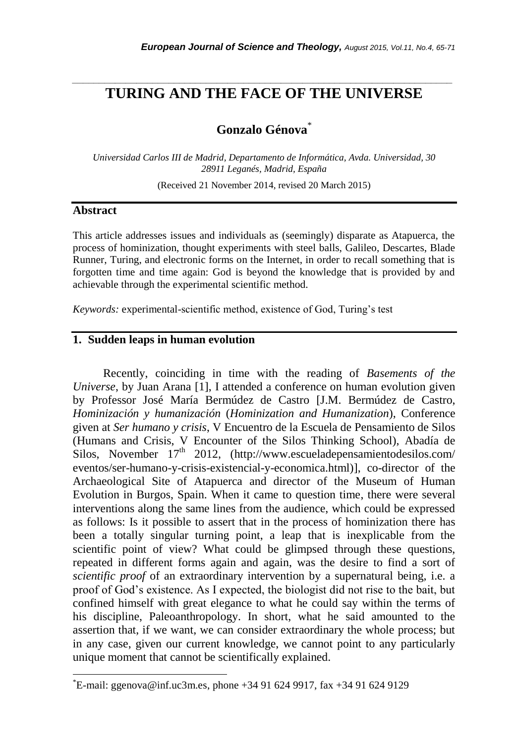## *\_\_\_\_\_\_\_\_\_\_\_\_\_\_\_\_\_\_\_\_\_\_\_\_\_\_\_\_\_\_\_\_\_\_\_\_\_\_\_\_\_\_\_\_\_\_\_\_\_\_\_\_\_\_\_\_\_\_\_\_\_\_\_\_\_\_\_\_\_\_\_* **TURING AND THE FACE OF THE UNIVERSE**

# **Gonzalo Génova**\*

*Universidad Carlos III de Madrid, Departamento de Informática, Avda. Universidad, 30 28911 Leganés, Madrid, España*

(Received 21 November 2014, revised 20 March 2015)

#### **Abstract**

l

This article addresses issues and individuals as (seemingly) disparate as Atapuerca, the process of hominization, thought experiments with steel balls, Galileo, Descartes, Blade Runner, Turing, and electronic forms on the Internet, in order to recall something that is forgotten time and time again: God is beyond the knowledge that is provided by and achievable through the experimental scientific method.

*Keywords:* experimental-scientific method, existence of God, Turing"s test

### **1. Sudden leaps in human evolution**

Recently, coinciding in time with the reading of *Basements of the Universe*, by Juan Arana [1], I attended a conference on human evolution given by Professor José María Bermúdez de Castro [J.M. Bermúdez de Castro, *Hominización y humanización* (*Hominization and Humanization*), Conference given at *Ser humano y crisis*, V Encuentro de la Escuela de Pensamiento de Silos (Humans and Crisis, V Encounter of the Silos Thinking School), Abadía de Silos, November 17<sup>th</sup> 2012, (http://www.escueladepensamientodesilos.com/ eventos/ser-humano-y-crisis-existencial-y-economica.html)], co-director of the Archaeological Site of Atapuerca and director of the Museum of Human Evolution in Burgos, Spain. When it came to question time, there were several interventions along the same lines from the audience, which could be expressed as follows: Is it possible to assert that in the process of hominization there has been a totally singular turning point, a leap that is inexplicable from the scientific point of view? What could be glimpsed through these questions, repeated in different forms again and again, was the desire to find a sort of *scientific proof* of an extraordinary intervention by a supernatural being, i.e. a proof of God"s existence. As I expected, the biologist did not rise to the bait, but confined himself with great elegance to what he could say within the terms of his discipline, Paleoanthropology. In short, what he said amounted to the assertion that, if we want, we can consider extraordinary the whole process; but in any case, given our current knowledge, we cannot point to any particularly unique moment that cannot be scientifically explained.

 $E$ -mail: ggenova@inf.uc3m.es, phone +34 91 624 9917, fax +34 91 624 9129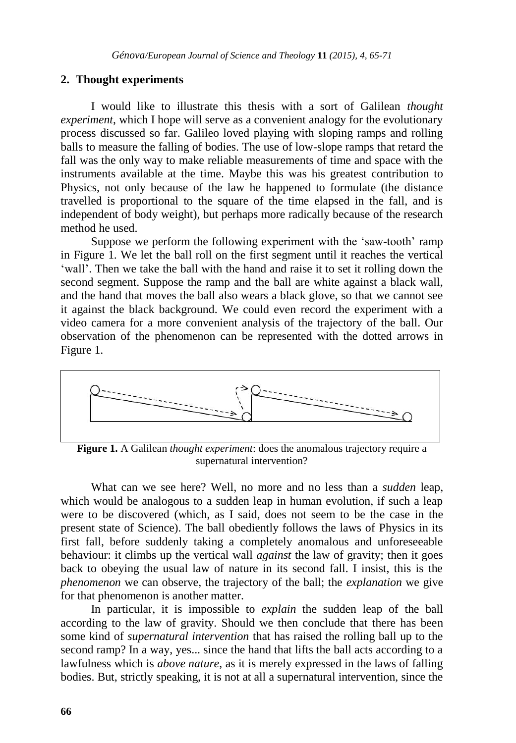#### **2. Thought experiments**

I would like to illustrate this thesis with a sort of Galilean *thought experiment*, which I hope will serve as a convenient analogy for the evolutionary process discussed so far. Galileo loved playing with sloping ramps and rolling balls to measure the falling of bodies. The use of low-slope ramps that retard the fall was the only way to make reliable measurements of time and space with the instruments available at the time. Maybe this was his greatest contribution to Physics, not only because of the law he happened to formulate (the distance travelled is proportional to the square of the time elapsed in the fall, and is independent of body weight), but perhaps more radically because of the research method he used.

Suppose we perform the following experiment with the 'saw-tooth' ramp in Figure 1. We let the ball roll on the first segment until it reaches the vertical "wall". Then we take the ball with the hand and raise it to set it rolling down the second segment. Suppose the ramp and the ball are white against a black wall, and the hand that moves the ball also wears a black glove, so that we cannot see it against the black background. We could even record the experiment with a video camera for a more convenient analysis of the trajectory of the ball. Our observation of the phenomenon can be represented with the dotted arrows in Figure 1.



**Figure 1.** A Galilean *thought experiment*: does the anomalous trajectory require a supernatural intervention?

What can we see here? Well, no more and no less than a *sudden* leap, which would be analogous to a sudden leap in human evolution, if such a leap were to be discovered (which, as I said, does not seem to be the case in the present state of Science). The ball obediently follows the laws of Physics in its first fall, before suddenly taking a completely anomalous and unforeseeable behaviour: it climbs up the vertical wall *against* the law of gravity; then it goes back to obeying the usual law of nature in its second fall. I insist, this is the *phenomenon* we can observe, the trajectory of the ball; the *explanation* we give for that phenomenon is another matter.

In particular, it is impossible to *explain* the sudden leap of the ball according to the law of gravity. Should we then conclude that there has been some kind of *supernatural intervention* that has raised the rolling ball up to the second ramp? In a way, yes... since the hand that lifts the ball acts according to a lawfulness which is *above nature*, as it is merely expressed in the laws of falling bodies. But, strictly speaking, it is not at all a supernatural intervention, since the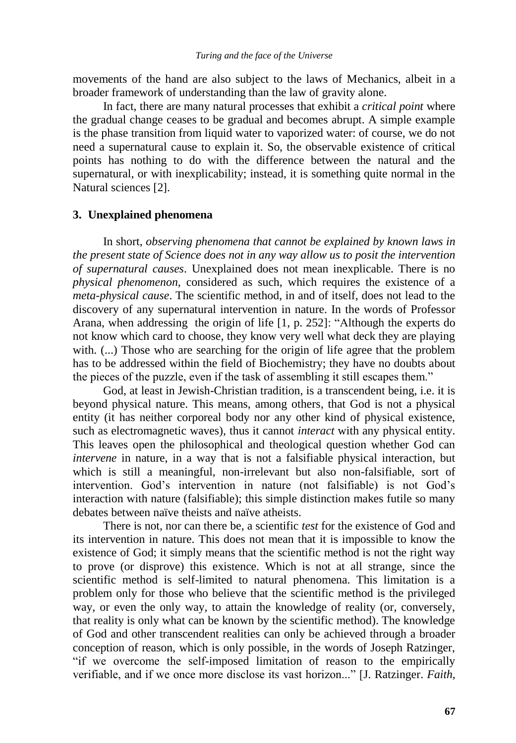movements of the hand are also subject to the laws of Mechanics, albeit in a broader framework of understanding than the law of gravity alone.

In fact, there are many natural processes that exhibit a *critical point* where the gradual change ceases to be gradual and becomes abrupt. A simple example is the phase transition from liquid water to vaporized water: of course, we do not need a supernatural cause to explain it. So, the observable existence of critical points has nothing to do with the difference between the natural and the supernatural, or with inexplicability; instead, it is something quite normal in the Natural sciences [2].

#### **3. Unexplained phenomena**

In short, *observing phenomena that cannot be explained by known laws in the present state of Science does not in any way allow us to posit the intervention of supernatural causes*. Unexplained does not mean inexplicable. There is no *physical phenomenon*, considered as such, which requires the existence of a *meta-physical cause*. The scientific method, in and of itself, does not lead to the discovery of any supernatural intervention in nature. In the words of Professor Arana, when addressing the origin of life [1, p. 252]: "Although the experts do not know which card to choose, they know very well what deck they are playing with.  $(...)$  Those who are searching for the origin of life agree that the problem has to be addressed within the field of Biochemistry; they have no doubts about the pieces of the puzzle, even if the task of assembling it still escapes them."

God, at least in Jewish-Christian tradition, is a transcendent being, i.e. it is beyond physical nature. This means, among others, that God is not a physical entity (it has neither corporeal body nor any other kind of physical existence, such as electromagnetic waves), thus it cannot *interact* with any physical entity. This leaves open the philosophical and theological question whether God can *intervene* in nature, in a way that is not a falsifiable physical interaction, but which is still a meaningful, non-irrelevant but also non-falsifiable, sort of intervention. God"s intervention in nature (not falsifiable) is not God"s interaction with nature (falsifiable); this simple distinction makes futile so many debates between naïve theists and naïve atheists.

There is not, nor can there be, a scientific *test* for the existence of God and its intervention in nature. This does not mean that it is impossible to know the existence of God; it simply means that the scientific method is not the right way to prove (or disprove) this existence. Which is not at all strange, since the scientific method is self-limited to natural phenomena. This limitation is a problem only for those who believe that the scientific method is the privileged way, or even the only way, to attain the knowledge of reality (or, conversely, that reality is only what can be known by the scientific method). The knowledge of God and other transcendent realities can only be achieved through a broader conception of reason, which is only possible, in the words of Joseph Ratzinger, "if we overcome the self-imposed limitation of reason to the empirically verifiable, and if we once more disclose its vast horizon..." [J. Ratzinger. *Faith,*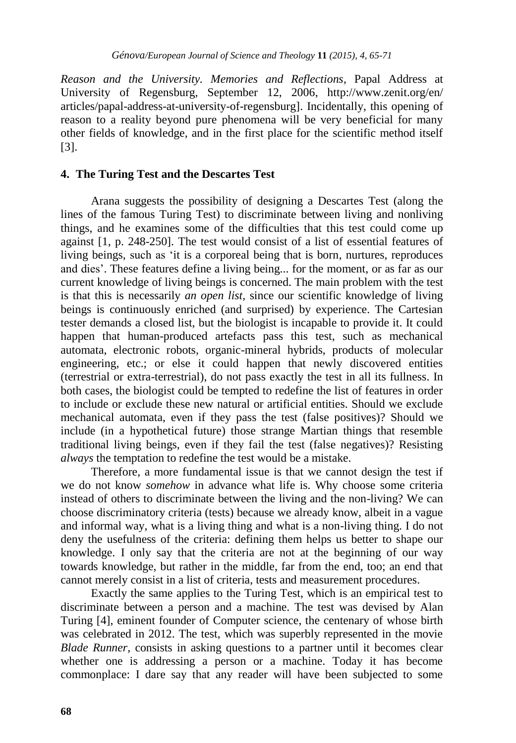*Reason and the University. Memories and Reflections*, Papal Address at University of Regensburg, September 12, 2006, http://www.zenit.org/en/ articles/papal-address-at-university-of-regensburg]. Incidentally, this opening of reason to a reality beyond pure phenomena will be very beneficial for many other fields of knowledge, and in the first place for the scientific method itself [3].

## **4. The Turing Test and the Descartes Test**

Arana suggests the possibility of designing a Descartes Test (along the lines of the famous Turing Test) to discriminate between living and nonliving things, and he examines some of the difficulties that this test could come up against [1, p. 248-250]. The test would consist of a list of essential features of living beings, such as "it is a corporeal being that is born, nurtures, reproduces and dies". These features define a living being... for the moment, or as far as our current knowledge of living beings is concerned. The main problem with the test is that this is necessarily *an open list*, since our scientific knowledge of living beings is continuously enriched (and surprised) by experience. The Cartesian tester demands a closed list, but the biologist is incapable to provide it. It could happen that human-produced artefacts pass this test, such as mechanical automata, electronic robots, organic-mineral hybrids, products of molecular engineering, etc.; or else it could happen that newly discovered entities (terrestrial or extra-terrestrial), do not pass exactly the test in all its fullness. In both cases, the biologist could be tempted to redefine the list of features in order to include or exclude these new natural or artificial entities. Should we exclude mechanical automata, even if they pass the test (false positives)? Should we include (in a hypothetical future) those strange Martian things that resemble traditional living beings, even if they fail the test (false negatives)? Resisting *always* the temptation to redefine the test would be a mistake.

Therefore, a more fundamental issue is that we cannot design the test if we do not know *somehow* in advance what life is. Why choose some criteria instead of others to discriminate between the living and the non-living? We can choose discriminatory criteria (tests) because we already know, albeit in a vague and informal way, what is a living thing and what is a non-living thing. I do not deny the usefulness of the criteria: defining them helps us better to shape our knowledge. I only say that the criteria are not at the beginning of our way towards knowledge, but rather in the middle, far from the end, too; an end that cannot merely consist in a list of criteria, tests and measurement procedures.

Exactly the same applies to the Turing Test, which is an empirical test to discriminate between a person and a machine. The test was devised by Alan Turing [4], eminent founder of Computer science, the centenary of whose birth was celebrated in 2012. The test, which was superbly represented in the movie *Blade Runner*, consists in asking questions to a partner until it becomes clear whether one is addressing a person or a machine. Today it has become commonplace: I dare say that any reader will have been subjected to some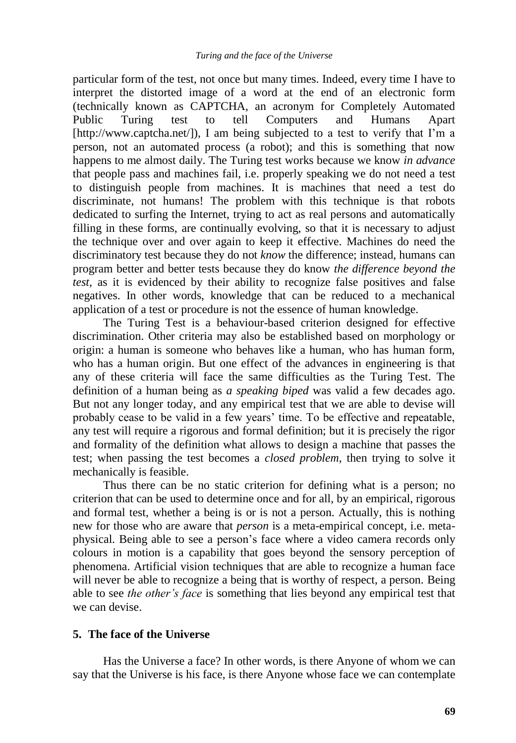particular form of the test, not once but many times. Indeed, every time I have to interpret the distorted image of a word at the end of an electronic form (technically known as CAPTCHA, an acronym for Completely Automated Public Turing test to tell Computers and Humans Apart [http://www.captcha.net/]), I am being subjected to a test to verify that I'm a person, not an automated process (a robot); and this is something that now happens to me almost daily. The Turing test works because we know *in advance* that people pass and machines fail, i.e. properly speaking we do not need a test to distinguish people from machines. It is machines that need a test do discriminate, not humans! The problem with this technique is that robots dedicated to surfing the Internet, trying to act as real persons and automatically filling in these forms, are continually evolving, so that it is necessary to adjust the technique over and over again to keep it effective. Machines do need the discriminatory test because they do not *know* the difference; instead, humans can program better and better tests because they do know *the difference beyond the test*, as it is evidenced by their ability to recognize false positives and false negatives. In other words, knowledge that can be reduced to a mechanical application of a test or procedure is not the essence of human knowledge.

The Turing Test is a behaviour-based criterion designed for effective discrimination. Other criteria may also be established based on morphology or origin: a human is someone who behaves like a human, who has human form, who has a human origin. But one effect of the advances in engineering is that any of these criteria will face the same difficulties as the Turing Test. The definition of a human being as *a speaking biped* was valid a few decades ago. But not any longer today, and any empirical test that we are able to devise will probably cease to be valid in a few years" time. To be effective and repeatable, any test will require a rigorous and formal definition; but it is precisely the rigor and formality of the definition what allows to design a machine that passes the test; when passing the test becomes a *closed problem*, then trying to solve it mechanically is feasible.

Thus there can be no static criterion for defining what is a person; no criterion that can be used to determine once and for all, by an empirical, rigorous and formal test, whether a being is or is not a person. Actually, this is nothing new for those who are aware that *person* is a meta-empirical concept, i.e. metaphysical. Being able to see a person"s face where a video camera records only colours in motion is a capability that goes beyond the sensory perception of phenomena. Artificial vision techniques that are able to recognize a human face will never be able to recognize a being that is worthy of respect, a person. Being able to see *the other's face* is something that lies beyond any empirical test that we can devise.

### **5. The face of the Universe**

Has the Universe a face? In other words, is there Anyone of whom we can say that the Universe is his face, is there Anyone whose face we can contemplate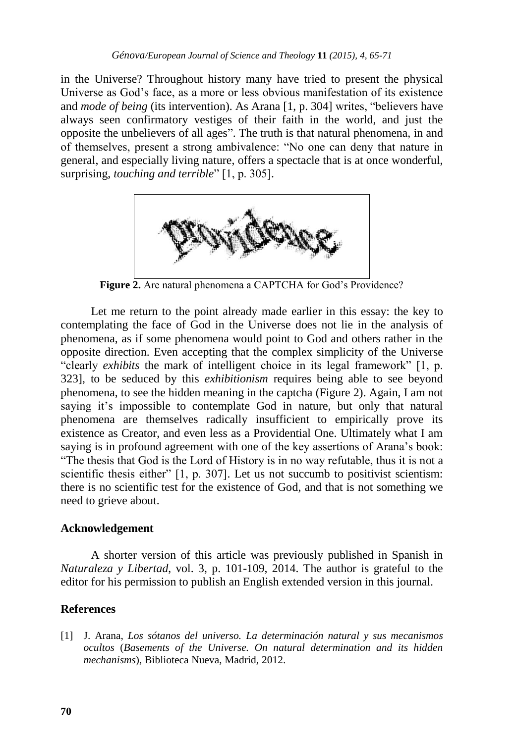in the Universe? Throughout history many have tried to present the physical Universe as God"s face, as a more or less obvious manifestation of its existence and *mode of being* (its intervention). As Arana [1, p. 304] writes, "believers have always seen confirmatory vestiges of their faith in the world, and just the opposite the unbelievers of all ages". The truth is that natural phenomena, in and of themselves, present a strong ambivalence: "No one can deny that nature in general, and especially living nature, offers a spectacle that is at once wonderful, surprising, *touching and terrible*" [1, p. 305].



Figure 2. Are natural phenomena a CAPTCHA for God's Providence?

Let me return to the point already made earlier in this essay: the key to contemplating the face of God in the Universe does not lie in the analysis of phenomena, as if some phenomena would point to God and others rather in the opposite direction. Even accepting that the complex simplicity of the Universe "clearly *exhibits* the mark of intelligent choice in its legal framework" [1, p. 323], to be seduced by this *exhibitionism* requires being able to see beyond phenomena, to see the hidden meaning in the captcha (Figure 2). Again, I am not saying it's impossible to contemplate God in nature, but only that natural phenomena are themselves radically insufficient to empirically prove its existence as Creator, and even less as a Providential One. Ultimately what I am saying is in profound agreement with one of the key assertions of Arana's book: "The thesis that God is the Lord of History is in no way refutable, thus it is not a scientific thesis either" [1, p. 307]. Let us not succumb to positivist scientism: there is no scientific test for the existence of God, and that is not something we need to grieve about.

### **Acknowledgement**

A shorter version of this article was previously published in Spanish in *Naturaleza y Libertad*, vol. 3, p. 101-109, 2014. The author is grateful to the editor for his permission to publish an English extended version in this journal.

## **References**

[1] J. Arana, *Los sótanos del universo. La determinación natural y sus mecanismos ocultos* (*Basements of the Universe. On natural determination and its hidden mechanisms*), Biblioteca Nueva, Madrid, 2012.